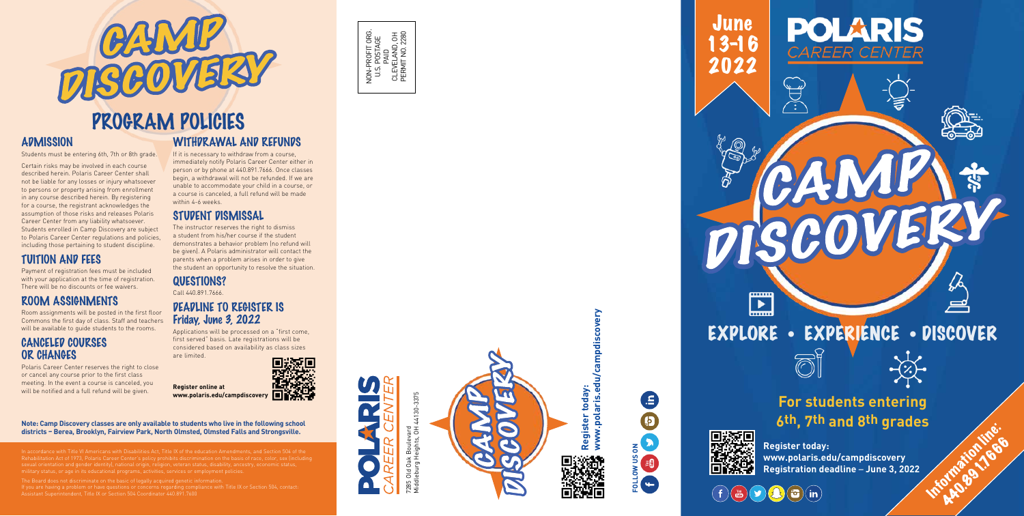Students must be entering 6th, 7th or 8th grade.

Certain risks may be involved in each course described herein. Polaris Career Center shall not be liable for any losses or injury whatsoever to persons or property arising from enrollment in any course described herein. By registering for a course, the registrant acknowledges the assumption of those risks and releases Polaris Career Center from any liability whatsoever. Students enrolled in Camp Discovery are subject to Polaris Career Center regulations and policies, including those pertaining to student discipline.

# TUITION AND FEES

Payment of registration fees must be included with your application at the time of registration. There will be no discounts or fee waivers.

#### ROOM ASSIGNMENTS

Room assignments will be posted in the first floor Commons the first day of class. Staff and teachers will be available to guide students to the rooms.

#### CANCELED COURSES OR CHANGES

Polaris Career Center reserves the right to close or cancel any course prior to the first class meeting. In the event a course is canceled, you will be notified and a full refund will be given.

# WITHDRAWAL AND REFUNDS

If it is necessary to withdraw from a course, immediately notify Polaris Career Center either in person or by phone at 440.891.7666. Once classes begin, a withdrawal will not be refunded. If we are unable to accommodate your child in a course, or a course is canceled, a full refund will be made within 4-6 weeks.

ie with Title VI Americans with Disabilities Act, Title IX of the education Amendments, and Section 504 of the military status, or age in its educational programs, activities, services or employment policies.

The Board does not discriminate on the basic of legally acquired genetic information. If you are having a problem or have questions or concerns regarding compliance with Title IX or Section 504, contact: Assistant Superintendent, Title IX or Section 504 Coordinator 440.891.760

**June** 13-16 2022

# **For students entering 6th, 7th and 8th grades** Information lines.





 $(f)$ 

The instructor reserves the right to dismiss a student from his/her course if the student demonstrates a behavior problem (no refund will be given). A Polaris administrator will contact the parents when a problem arises in order to give the student an opportunity to resolve the situation.

QUESTIONS? Call 440.891.7666.

## DEADLINE TO REGISTER IS Friday, June 3, 2022

Applications will be processed on a "first come, first served" basis. Late registrations will be considered based on availability as class sizes are limited.

**Register online at www.polaris.edu/campdiscovery**

NON-PROFIT ORG. U.S. POSTAGE NON-PROFIT ORG.<br>U.S. POSTAGE<br>PAID<br>CLEVELAND, OH<br>PERMIT NO. 2280 CLEVELAND, OH PERMIT NO. 2280

 $\blacksquare$ 

# STUDENT DISMISSAL



# **ADMISSION**









**Register today: www.polaris.edu/campdiscovery Registration deadline**  – **June 3, 2022**

# EXPLORE • EXPERIENCE • DISCOVER

CCOVEL

POLARIS

*EAREER CEN* 

Ų